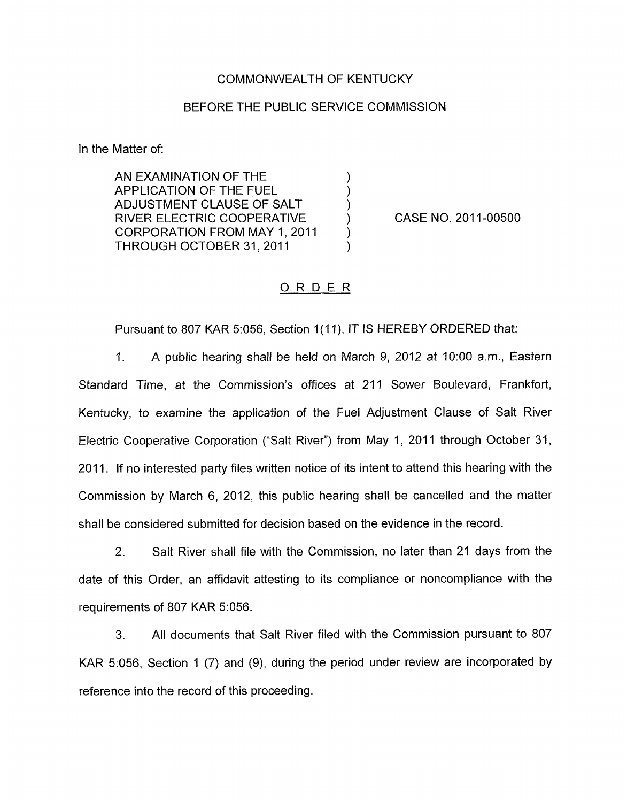## COMMONWEALTH OF KENTUCKY

## BEFORE THE PUBLIC SERVICE COMMISSION

In the Matter of:

AN EXAMINATION OF THE  $\left( \begin{array}{ccc} \bullet & \bullet & \bullet \\ \bullet & \bullet & \bullet \end{array} \right)$ APPLICATION OF THE FUEL (1)<br>ADJUSTMENT CLAUSE OF SALT (1) ADJUSTMENT CLAUSE OF SALT ) RIVER ELECTRIC COOPERATIVE ) CORPORATION FROM MAY 1, 2011 THROUGH OCTOBER 31, 2011

CASE NO. 2011-00500

## ORDER

Pursuant to 807 KAR 5:056, Section 1(11), IT IS HEREBY ORDERED that:

1. A public hearing shall be held on March 9, 2012 at 1O:OO a.m., Eastern Standard Time, at the Commission's offices at 211 Sower Boulevard, Frankfort, Kentucky, to examine the application of the Fuel Adjustment Clause of Salt River Electric Cooperative Corporation ("Salt River") from May 1, 2011 through October 31, 2011. If no interested party files written notice of its intent to attend this hearing with the Commission by March 6, 2012, this public hearing shall be cancelled and the matter shall be considered submitted for decision based on the evidence in the record.

2. Salt River shall file with the Commission, no later than 21 days from the date of this Order, an affidavit attesting to its compliance or noncompliance with the requirements of 807 KAR 5:056.

**3.** All documents that Salt River filed with the Commission pursuant to 807 KAR 5:056, Section 1 (7) and (9), during the period under review are incorporated by reference into the record of this proceeding.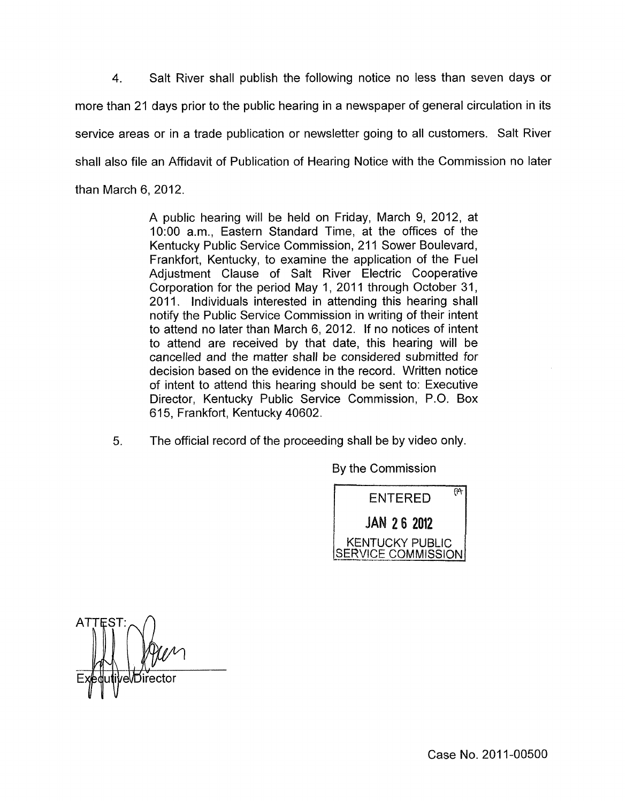4. Salt River shall publish the following notice no less than seven days or more than 21 days prior to the public hearing in a newspaper of general circulation in its service areas or in a trade publication or newsletter going to all customers. Salt River shall also file an Affidavit of Publication of Hearing Notice with the Commission no later than March 6, 2012.

> A public hearing will be held on Friday, March 9, 2012, at 1O:OO a.m., Eastern Standard Time, at the offices of the Kentucky Public Service Commission, 211 Sower Boulevard, Frankfort, Kentucky, to examine the application of the Fuel Adjustment Clause of Salt River Electric Cooperative Corporation for the period May 1, 2011 through October 31,<br>2011. Individuals interested in attending this hearing shall notify the Public Service Commission in writing of their intent to attend no later than March 6, 2012. If no notices of intent to attend are received by that date, this hearing will be cancelled and the matter shall be considered submitted for decision based on the evidence in the record. Written notice of intent to attend this hearing should be sent to: Executive Director, Kentucky Public Service Commission, P.O. Box 615, Frankfort, Kentucky 40602.

*5.* The official record of the proceeding shall be by video only.

By the Commission



**ATTEST** 'eVDirector